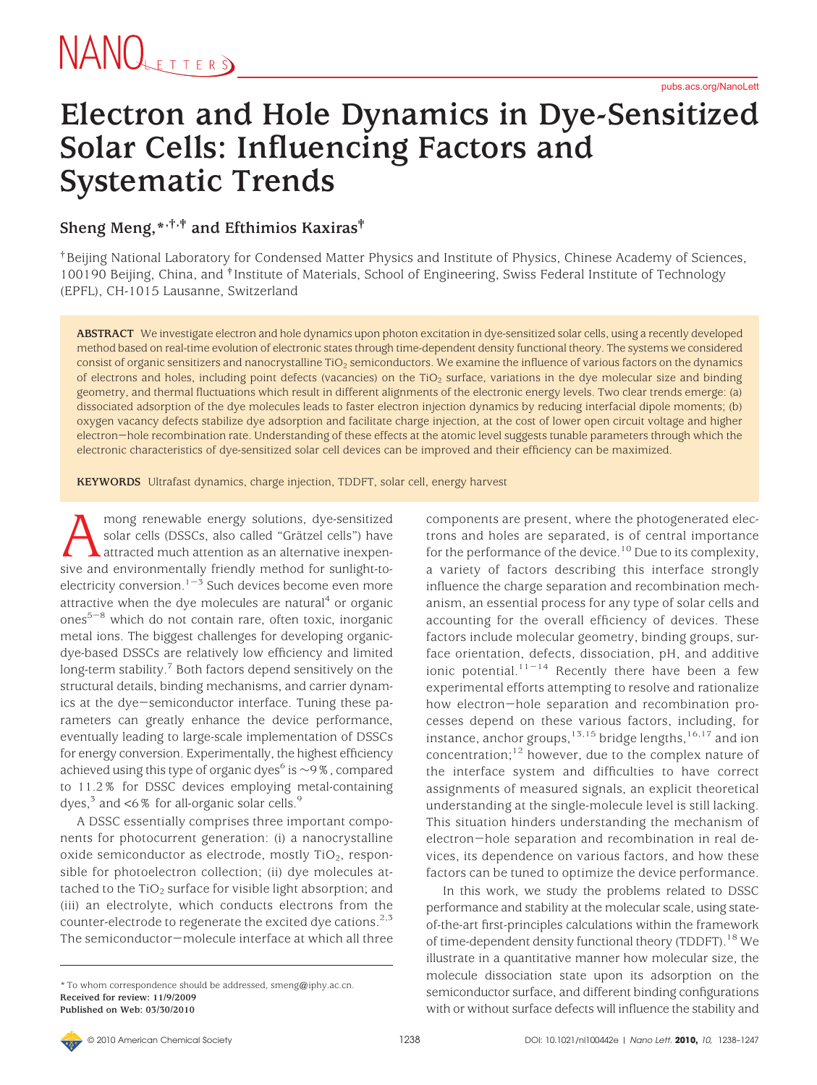#### **Electron and Hole Dynamics in Dye-Sensitized Solar Cells: Influencing Factors and Systematic Trends**

#### **Sheng Meng,\*,†,‡ and Efthimios Kaxiras‡**

†Beijing National Laboratory for Condensed Matter Physics and Institute of Physics, Chinese Academy of Sciences, 100190 Beijing, China, and <sup>†</sup> Institute of Materials, School of Engineering, Swiss Federal Institute of Technology (EPFL), CH-1015 Lausanne, Switzerland

**ABSTRACT** We investigate electron and hole dynamics upon photon excitation in dye-sensitized solar cells, using a recently developed method based on real-time evolution of electronic states through time-dependent density functional theory. The systems we considered consist of organic sensitizers and nanocrystalline TiO<sub>2</sub> semiconductors. We examine the influence of various factors on the dynamics of electrons and holes, including point defects (vacancies) on the TiO<sub>2</sub> surface, variations in the dye molecular size and binding geometry, and thermal fluctuations which result in different alignments of the electronic energy levels. Two clear trends emerge: (a) dissociated adsorption of the dye molecules leads to faster electron injection dynamics by reducing interfacial dipole moments; (b) oxygen vacancy defects stabilize dye adsorption and facilitate charge injection, at the cost of lower open circuit voltage and higher electron-hole recombination rate. Understanding of these effects at the atomic level suggests tunable parameters through which the electronic characteristics of dye-sensitized solar cell devices can be improved and their efficiency can be maximized.

**KEYWORDS** Ultrafast dynamics, charge injection, TDDFT, solar cell, energy harvest

mong renewable energy solutions, dye-sensitized solar cells (DSSCs, also called "Grätzel cells") have attracted much attention as an alternative inexpensive and environmentally friendly method for sunlight-toelectricity conversion.<sup>1-3</sup> Such devices become even more attractive when the dye molecules are natural $4$  or organic  $ones<sup>5-8</sup>$  which do not contain rare, often toxic, inorganic metal ions. The biggest challenges for developing organicdye-based DSSCs are relatively low efficiency and limited long-term stability.<sup>7</sup> Both factors depend sensitively on the structural details, binding mechanisms, and carrier dynamics at the dye-semiconductor interface. Tuning these parameters can greatly enhance the device performance, eventually leading to large-scale implementation of DSSCs for energy conversion. Experimentally, the highest efficiency achieved using this type of organic dyes<sup>6</sup> is  $\sim$ 9%, compared to 11.2% for DSSC devices employing metal-containing dyes, $3$  and  $<6\%$  for all-organic solar cells.<sup>9</sup>

A DSSC essentially comprises three important components for photocurrent generation: (i) a nanocrystalline oxide semiconductor as electrode, mostly  $TiO<sub>2</sub>$ , responsible for photoelectron collection; (ii) dye molecules attached to the  $TiO<sub>2</sub>$  surface for visible light absorption; and (iii) an electrolyte, which conducts electrons from the counter-electrode to regenerate the excited dye cations.<sup>2,3</sup> The semiconductor-molecule interface at which all three components are present, where the photogenerated electrons and holes are separated, is of central importance for the performance of the device.<sup>10</sup> Due to its complexity, a variety of factors describing this interface strongly influence the charge separation and recombination mechanism, an essential process for any type of solar cells and accounting for the overall efficiency of devices. These factors include molecular geometry, binding groups, surface orientation, defects, dissociation, pH, and additive ionic potential.<sup>11-14</sup> Recently there have been a few experimental efforts attempting to resolve and rationalize how electron-hole separation and recombination processes depend on these various factors, including, for instance, anchor groups,<sup>13,15</sup> bridge lengths,<sup>16,17</sup> and ion concentration; $12$  however, due to the complex nature of the interface system and difficulties to have correct assignments of measured signals, an explicit theoretical understanding at the single-molecule level is still lacking. This situation hinders understanding the mechanism of electron-hole separation and recombination in real devices, its dependence on various factors, and how these factors can be tuned to optimize the device performance.

In this work, we study the problems related to DSSC performance and stability at the molecular scale, using stateof-the-art first-principles calculations within the framework of time-dependent density functional theory (TDDFT).<sup>18</sup> We illustrate in a quantitative manner how molecular size, the molecule dissociation state upon its adsorption on the semiconductor surface, and different binding configurations with or without surface defects will influence the stability and

<sup>\*</sup> To whom correspondence should be addressed, smeng@iphy.ac.cn. **Received for review: 11/9/2009 Published on Web: 03/30/2010**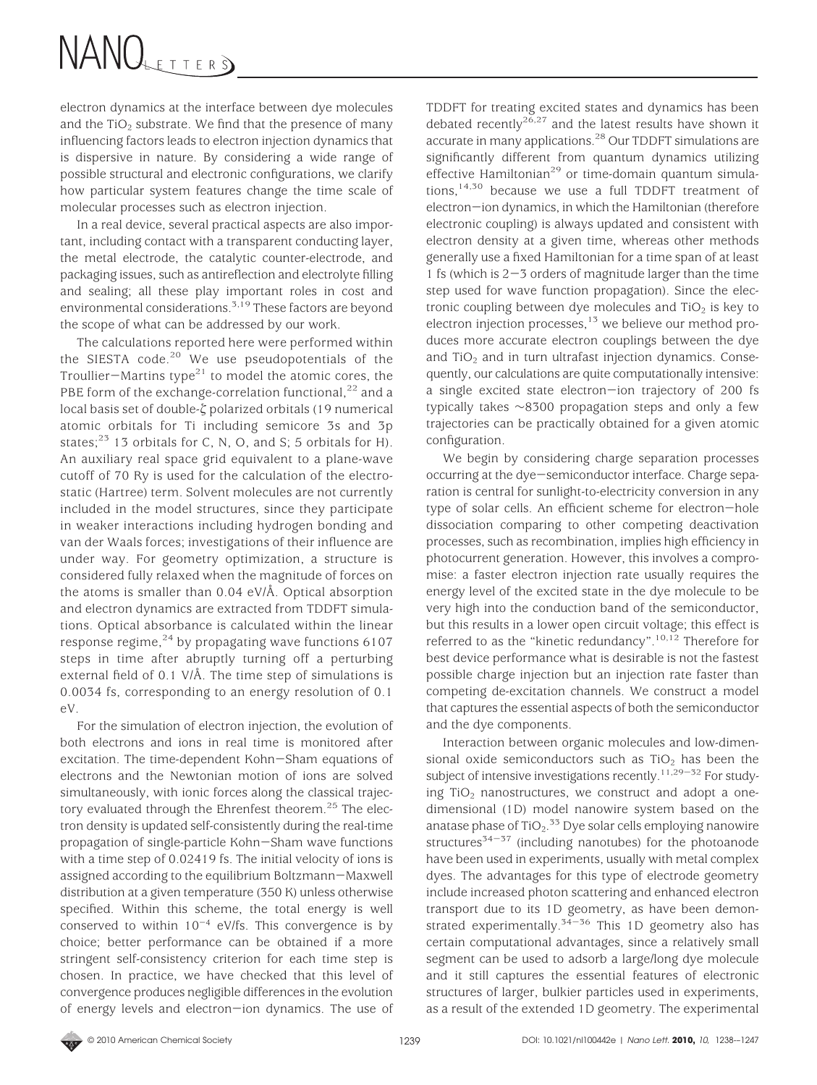electron dynamics at the interface between dye molecules and the  $TiO<sub>2</sub>$  substrate. We find that the presence of many influencing factors leads to electron injection dynamics that is dispersive in nature. By considering a wide range of possible structural and electronic configurations, we clarify how particular system features change the time scale of molecular processes such as electron injection.

In a real device, several practical aspects are also important, including contact with a transparent conducting layer, the metal electrode, the catalytic counter-electrode, and packaging issues, such as antireflection and electrolyte filling and sealing; all these play important roles in cost and environmental considerations.3,19 These factors are beyond the scope of what can be addressed by our work.

The calculations reported here were performed within the SIESTA code.<sup>20</sup> We use pseudopotentials of the Troullier-Martins type $^{21}$  to model the atomic cores, the PBE form of the exchange-correlation functional,<sup>22</sup> and a local basis set of double- $\zeta$  polarized orbitals (19 numerical atomic orbitals for Ti including semicore 3s and 3p states; $^{23}$  13 orbitals for C, N, O, and S; 5 orbitals for H). An auxiliary real space grid equivalent to a plane-wave cutoff of 70 Ry is used for the calculation of the electrostatic (Hartree) term. Solvent molecules are not currently included in the model structures, since they participate in weaker interactions including hydrogen bonding and van der Waals forces; investigations of their influence are under way. For geometry optimization, a structure is considered fully relaxed when the magnitude of forces on the atoms is smaller than 0.04 eV/Å. Optical absorption and electron dynamics are extracted from TDDFT simulations. Optical absorbance is calculated within the linear response regime, $24$  by propagating wave functions 6107 steps in time after abruptly turning off a perturbing external field of 0.1 V/Å. The time step of simulations is 0.0034 fs, corresponding to an energy resolution of 0.1 eV.

For the simulation of electron injection, the evolution of both electrons and ions in real time is monitored after excitation. The time-dependent Kohn-Sham equations of electrons and the Newtonian motion of ions are solved simultaneously, with ionic forces along the classical trajectory evaluated through the Ehrenfest theorem.<sup>25</sup> The electron density is updated self-consistently during the real-time propagation of single-particle Kohn-Sham wave functions with a time step of 0.02419 fs. The initial velocity of ions is assigned according to the equilibrium Boltzmann-Maxwell distribution at a given temperature (350 K) unless otherwise specified. Within this scheme, the total energy is well conserved to within  $10^{-4}$  eV/fs. This convergence is by choice; better performance can be obtained if a more stringent self-consistency criterion for each time step is chosen. In practice, we have checked that this level of convergence produces negligible differences in the evolution of energy levels and electron-ion dynamics. The use of TDDFT for treating excited states and dynamics has been debated recently<sup>26,27</sup> and the latest results have shown it accurate in many applications.28 Our TDDFT simulations are significantly different from quantum dynamics utilizing effective Hamiltonian<sup>29</sup> or time-domain quantum simulations,  $14,50$  because we use a full TDDFT treatment of electron-ion dynamics, in which the Hamiltonian (therefore electronic coupling) is always updated and consistent with electron density at a given time, whereas other methods generally use a fixed Hamiltonian for a time span of at least 1 fs (which is 2-3 orders of magnitude larger than the time step used for wave function propagation). Since the electronic coupling between dye molecules and  $TiO<sub>2</sub>$  is key to electron injection processes,<sup>13</sup> we believe our method produces more accurate electron couplings between the dye and TiO<sub>2</sub> and in turn ultrafast injection dynamics. Consequently, our calculations are quite computationally intensive: a single excited state electron-ion trajectory of 200 fs typically takes ∼8300 propagation steps and only a few trajectories can be practically obtained for a given atomic configuration.

We begin by considering charge separation processes occurring at the dye-semiconductor interface. Charge separation is central for sunlight-to-electricity conversion in any type of solar cells. An efficient scheme for electron-hole dissociation comparing to other competing deactivation processes, such as recombination, implies high efficiency in photocurrent generation. However, this involves a compromise: a faster electron injection rate usually requires the energy level of the excited state in the dye molecule to be very high into the conduction band of the semiconductor, but this results in a lower open circuit voltage; this effect is referred to as the "kinetic redundancy".<sup>10,12</sup> Therefore for best device performance what is desirable is not the fastest possible charge injection but an injection rate faster than competing de-excitation channels. We construct a model that captures the essential aspects of both the semiconductor and the dye components.

Interaction between organic molecules and low-dimensional oxide semiconductors such as  $TiO<sub>2</sub>$  has been the subject of intensive investigations recently.<sup>11,29-32</sup> For studying TiO<sub>2</sub> nanostructures, we construct and adopt a onedimensional (1D) model nanowire system based on the anatase phase of TiO<sub>2</sub>.<sup>33</sup> Dye solar cells employing nanowire structures<sup> $34-37$ </sup> (including nanotubes) for the photoanode have been used in experiments, usually with metal complex dyes. The advantages for this type of electrode geometry include increased photon scattering and enhanced electron transport due to its 1D geometry, as have been demonstrated experimentally.<sup>34-36</sup> This 1D geometry also has certain computational advantages, since a relatively small segment can be used to adsorb a large/long dye molecule and it still captures the essential features of electronic structures of larger, bulkier particles used in experiments, as a result of the extended 1D geometry. The experimental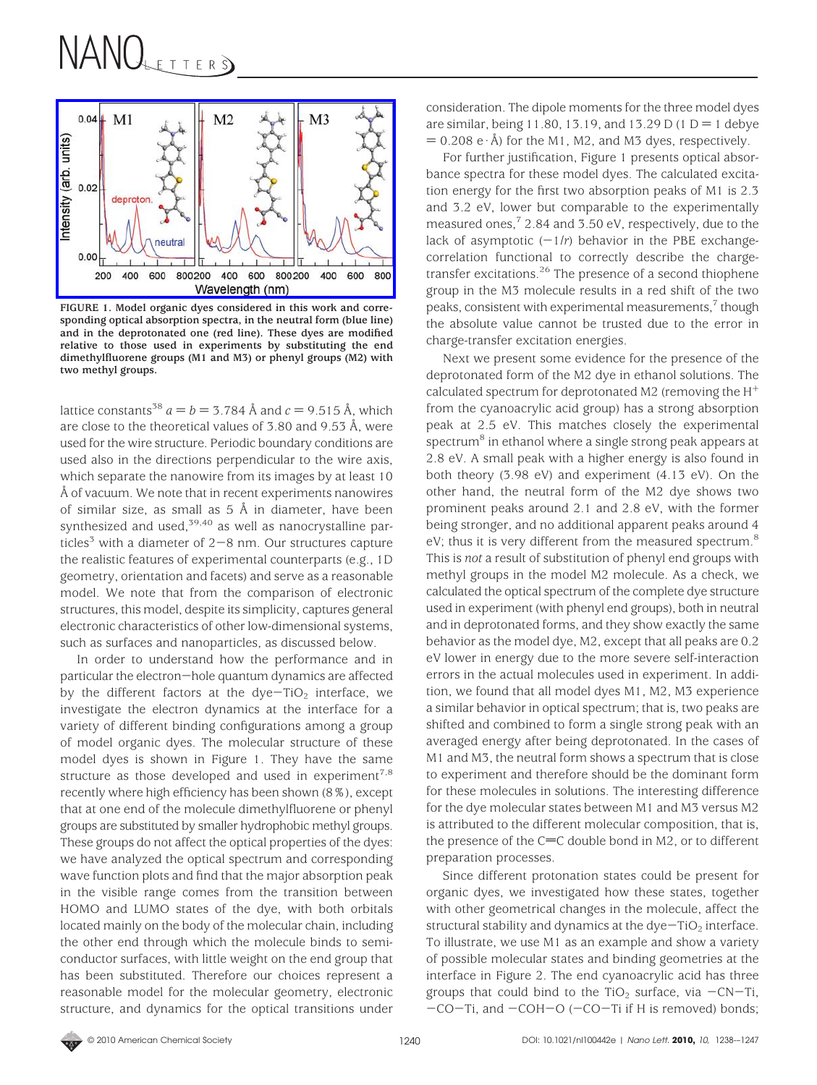

**FIGURE 1. Model organic dyes considered in this work and corresponding optical absorption spectra, in the neutral form (blue line) and in the deprotonated one (red line). These dyes are modified relative to those used in experiments by substituting the end dimethylfluorene groups (M1 and M3) or phenyl groups (M2) with two methyl groups.**

lattice constants<sup>38</sup>  $a = b = 3.784$  Å and  $c = 9.515$  Å, which are close to the theoretical values of 3.80 and 9.53 Å, were used for the wire structure. Periodic boundary conditions are used also in the directions perpendicular to the wire axis, which separate the nanowire from its images by at least 10 Å of vacuum. We note that in recent experiments nanowires of similar size, as small as 5 Å in diameter, have been synthesized and used, $39,40$  as well as nanocrystalline particles<sup>3</sup> with a diameter of  $2-8$  nm. Our structures capture the realistic features of experimental counterparts (e.g., 1D geometry, orientation and facets) and serve as a reasonable model. We note that from the comparison of electronic structures, this model, despite its simplicity, captures general electronic characteristics of other low-dimensional systems, such as surfaces and nanoparticles, as discussed below.

In order to understand how the performance and in particular the electron-hole quantum dynamics are affected by the different factors at the  $dye-TiO<sub>2</sub>$  interface, we investigate the electron dynamics at the interface for a variety of different binding configurations among a group of model organic dyes. The molecular structure of these model dyes is shown in Figure 1. They have the same structure as those developed and used in experiment<sup>7,8</sup> recently where high efficiency has been shown (8%), except that at one end of the molecule dimethylfluorene or phenyl groups are substituted by smaller hydrophobic methyl groups. These groups do not affect the optical properties of the dyes: we have analyzed the optical spectrum and corresponding wave function plots and find that the major absorption peak in the visible range comes from the transition between HOMO and LUMO states of the dye, with both orbitals located mainly on the body of the molecular chain, including the other end through which the molecule binds to semiconductor surfaces, with little weight on the end group that has been substituted. Therefore our choices represent a reasonable model for the molecular geometry, electronic structure, and dynamics for the optical transitions under consideration. The dipole moments for the three model dyes are similar, being 11.80, 13.19, and 13.29 D (1 D = 1 debye  $= 0.208 \text{ e} \cdot \text{\AA}$ ) for the M1, M2, and M3 dyes, respectively.

For further justification, Figure 1 presents optical absorbance spectra for these model dyes. The calculated excitation energy for the first two absorption peaks of M1 is 2.3 and 3.2 eV, lower but comparable to the experimentally measured ones,<sup>7</sup> 2.84 and 3.50 eV, respectively, due to the lack of asymptotic  $(-1/r)$  behavior in the PBE exchangecorrelation functional to correctly describe the chargetransfer excitations.<sup>26</sup> The presence of a second thiophene group in the M3 molecule results in a red shift of the two peaks, consistent with experimental measurements,<sup>7</sup> though the absolute value cannot be trusted due to the error in charge-transfer excitation energies.

Next we present some evidence for the presence of the deprotonated form of the M2 dye in ethanol solutions. The calculated spectrum for deprotonated M2 (removing the  $H^+$ from the cyanoacrylic acid group) has a strong absorption peak at 2.5 eV. This matches closely the experimental spectrum<sup>8</sup> in ethanol where a single strong peak appears at 2.8 eV. A small peak with a higher energy is also found in both theory (3.98 eV) and experiment (4.13 eV). On the other hand, the neutral form of the M2 dye shows two prominent peaks around 2.1 and 2.8 eV, with the former being stronger, and no additional apparent peaks around 4 eV; thus it is very different from the measured spectrum.<sup>8</sup> This is *not* a result of substitution of phenyl end groups with methyl groups in the model M2 molecule. As a check, we calculated the optical spectrum of the complete dye structure used in experiment (with phenyl end groups), both in neutral and in deprotonated forms, and they show exactly the same behavior as the model dye, M2, except that all peaks are 0.2 eV lower in energy due to the more severe self-interaction errors in the actual molecules used in experiment. In addition, we found that all model dyes M1, M2, M3 experience a similar behavior in optical spectrum; that is, two peaks are shifted and combined to form a single strong peak with an averaged energy after being deprotonated. In the cases of M1 and M3, the neutral form shows a spectrum that is close to experiment and therefore should be the dominant form for these molecules in solutions. The interesting difference for the dye molecular states between M1 and M3 versus M2 is attributed to the different molecular composition, that is, the presence of the  $C=C$  double bond in M2, or to different preparation processes.

Since different protonation states could be present for organic dyes, we investigated how these states, together with other geometrical changes in the molecule, affect the structural stability and dynamics at the  $dye-TiO<sub>2</sub>$  interface. To illustrate, we use M1 as an example and show a variety of possible molecular states and binding geometries at the interface in Figure 2. The end cyanoacrylic acid has three groups that could bind to the TiO<sub>2</sub> surface, via  $-CN-Ti$ , -CO-Ti, and -COH-O (-CO-Ti if H is removed) bonds;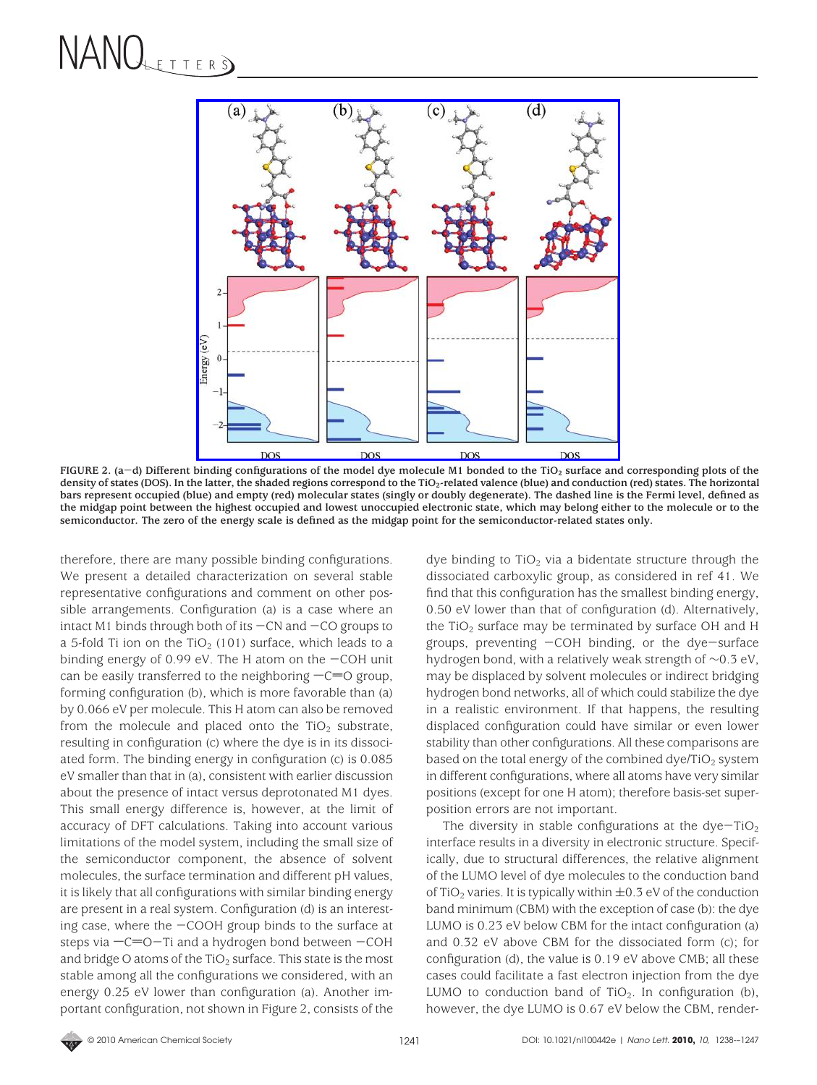

**FIGURE 2. (a**-**d) Different binding configurations of the model dye molecule M1 bonded to the TiO2 surface and corresponding plots of the** density of states (DOS). In the latter, the shaded regions correspond to the TiO<sub>2</sub>-related valence (blue) and conduction (red) states. The horizontal **bars represent occupied (blue) and empty (red) molecular states (singly or doubly degenerate). The dashed line is the Fermi level, defined as the midgap point between the highest occupied and lowest unoccupied electronic state, which may belong either to the molecule or to the semiconductor. The zero of the energy scale is defined as the midgap point for the semiconductor-related states only.**

therefore, there are many possible binding configurations. We present a detailed characterization on several stable representative configurations and comment on other possible arrangements. Configuration (a) is a case where an intact M1 binds through both of its  $-CN$  and  $-CO$  groups to a 5-fold Ti ion on the  $TiO<sub>2</sub>$  (101) surface, which leads to a binding energy of 0.99 eV. The H atom on the  $-COH$  unit can be easily transferred to the neighboring  $-C=0$  group, forming configuration (b), which is more favorable than (a) by 0.066 eV per molecule. This H atom can also be removed from the molecule and placed onto the  $TiO<sub>2</sub>$  substrate, resulting in configuration (c) where the dye is in its dissociated form. The binding energy in configuration (c) is 0.085 eV smaller than that in (a), consistent with earlier discussion about the presence of intact versus deprotonated M1 dyes. This small energy difference is, however, at the limit of accuracy of DFT calculations. Taking into account various limitations of the model system, including the small size of the semiconductor component, the absence of solvent molecules, the surface termination and different pH values, it is likely that all configurations with similar binding energy are present in a real system. Configuration (d) is an interesting case, where the  $-$ COOH group binds to the surface at steps via  $-C=O-Ti$  and a hydrogen bond between  $-COH$ and bridge O atoms of the TiO<sub>2</sub> surface. This state is the most stable among all the configurations we considered, with an energy 0.25 eV lower than configuration (a). Another important configuration, not shown in Figure 2, consists of the

dye binding to  $TiO<sub>2</sub>$  via a bidentate structure through the dissociated carboxylic group, as considered in ref 41. We find that this configuration has the smallest binding energy, 0.50 eV lower than that of configuration (d). Alternatively, the TiO<sub>2</sub> surface may be terminated by surface OH and H groups, preventing  $-COH$  binding, or the dye-surface hydrogen bond, with a relatively weak strength of ∼0.3 eV, may be displaced by solvent molecules or indirect bridging hydrogen bond networks, all of which could stabilize the dye in a realistic environment. If that happens, the resulting displaced configuration could have similar or even lower stability than other configurations. All these comparisons are based on the total energy of the combined dye/TiO<sub>2</sub> system in different configurations, where all atoms have very similar positions (except for one H atom); therefore basis-set superposition errors are not important.

The diversity in stable configurations at the  $dye-TiO<sub>2</sub>$ interface results in a diversity in electronic structure. Specifically, due to structural differences, the relative alignment of the LUMO level of dye molecules to the conduction band of TiO<sub>2</sub> varies. It is typically within  $\pm$ 0.3 eV of the conduction band minimum (CBM) with the exception of case (b): the dye LUMO is 0.23 eV below CBM for the intact configuration (a) and 0.32 eV above CBM for the dissociated form (c); for configuration (d), the value is 0.19 eV above CMB; all these cases could facilitate a fast electron injection from the dye LUMO to conduction band of  $TiO<sub>2</sub>$ . In configuration (b), however, the dye LUMO is 0.67 eV below the CBM, render-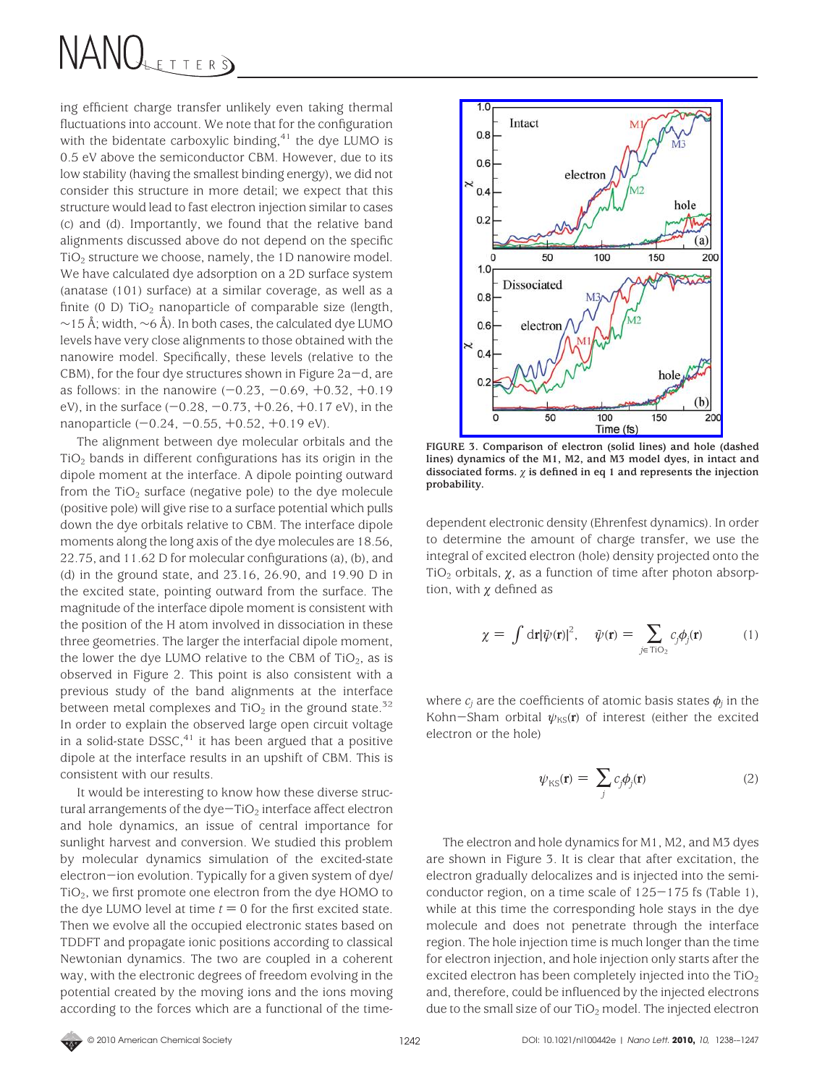ing efficient charge transfer unlikely even taking thermal fluctuations into account. We note that for the configuration with the bidentate carboxylic binding, $41$  the dye LUMO is 0.5 eV above the semiconductor CBM. However, due to its low stability (having the smallest binding energy), we did not consider this structure in more detail; we expect that this structure would lead to fast electron injection similar to cases (c) and (d). Importantly, we found that the relative band alignments discussed above do not depend on the specific TiO2 structure we choose, namely, the 1D nanowire model. We have calculated dye adsorption on a 2D surface system (anatase (101) surface) at a similar coverage, as well as a finite (0 D)  $TiO<sub>2</sub>$  nanoparticle of comparable size (length, ∼15 Å; width, ∼6 Å). In both cases, the calculated dye LUMO levels have very close alignments to those obtained with the nanowire model. Specifically, these levels (relative to the  $CBM$ ), for the four dye structures shown in Figure 2a-d, are as follows: in the nanowire  $(-0.23, -0.69, +0.32, +0.19)$ eV), in the surface  $(-0.28, -0.73, +0.26, +0.17)$  eV), in the nanoparticle  $(-0.24, -0.55, +0.52, +0.19 \text{ eV})$ .

The alignment between dye molecular orbitals and the  $TiO<sub>2</sub>$  bands in different configurations has its origin in the dipole moment at the interface. A dipole pointing outward from the  $TiO<sub>2</sub>$  surface (negative pole) to the dye molecule (positive pole) will give rise to a surface potential which pulls down the dye orbitals relative to CBM. The interface dipole moments along the long axis of the dye molecules are 18.56, 22.75, and 11.62 D for molecular configurations (a), (b), and (d) in the ground state, and 23.16, 26.90, and 19.90 D in the excited state, pointing outward from the surface. The magnitude of the interface dipole moment is consistent with the position of the H atom involved in dissociation in these three geometries. The larger the interfacial dipole moment, the lower the dye LUMO relative to the CBM of  $TiO<sub>2</sub>$ , as is observed in Figure 2. This point is also consistent with a previous study of the band alignments at the interface between metal complexes and TiO<sub>2</sub> in the ground state.<sup>32</sup> In order to explain the observed large open circuit voltage in a solid-state DSSC, $41$  it has been argued that a positive dipole at the interface results in an upshift of CBM. This is consistent with our results.

It would be interesting to know how these diverse structural arrangements of the dye $-TiO<sub>2</sub>$  interface affect electron and hole dynamics, an issue of central importance for sunlight harvest and conversion. We studied this problem by molecular dynamics simulation of the excited-state electron-ion evolution. Typically for a given system of dye/ TiO2, we first promote one electron from the dye HOMO to the dye LUMO level at time  $t = 0$  for the first excited state. Then we evolve all the occupied electronic states based on TDDFT and propagate ionic positions according to classical Newtonian dynamics. The two are coupled in a coherent way, with the electronic degrees of freedom evolving in the potential created by the moving ions and the ions moving according to the forces which are a functional of the time-



**FIGURE 3. Comparison of electron (solid lines) and hole (dashed lines) dynamics of the M1, M2, and M3 model dyes, in intact and** dissociated forms.  $\chi$  is defined in eq 1 and represents the injection **probability.**

dependent electronic density (Ehrenfest dynamics). In order to determine the amount of charge transfer, we use the integral of excited electron (hole) density projected onto the TiO<sub>2</sub> orbitals,  $\chi$ , as a function of time after photon absorption, with  $\chi$  defined as

$$
\chi = \int d\mathbf{r} |\psi(\mathbf{r})|^2, \quad \bar{\psi}(\mathbf{r}) = \sum_{j \in \text{TiO}_2} c_j \phi_j(\mathbf{r}) \tag{1}
$$

where  $c_i$  are the coefficients of atomic basis states  $\phi_i$  in the Kohn-Sham orbital  $\psi_{\text{KS}}(\mathbf{r})$  of interest (either the excited electron or the hole)

$$
\psi_{\rm KS}(\mathbf{r}) = \sum_j c_j \phi_j(\mathbf{r}) \tag{2}
$$

The electron and hole dynamics for M1, M2, and M3 dyes are shown in Figure 3. It is clear that after excitation, the electron gradually delocalizes and is injected into the semiconductor region, on a time scale of  $125-175$  fs (Table 1), while at this time the corresponding hole stays in the dye molecule and does not penetrate through the interface region. The hole injection time is much longer than the time for electron injection, and hole injection only starts after the excited electron has been completely injected into the  $TiO<sub>2</sub>$ and, therefore, could be influenced by the injected electrons due to the small size of our  $TiO<sub>2</sub>$  model. The injected electron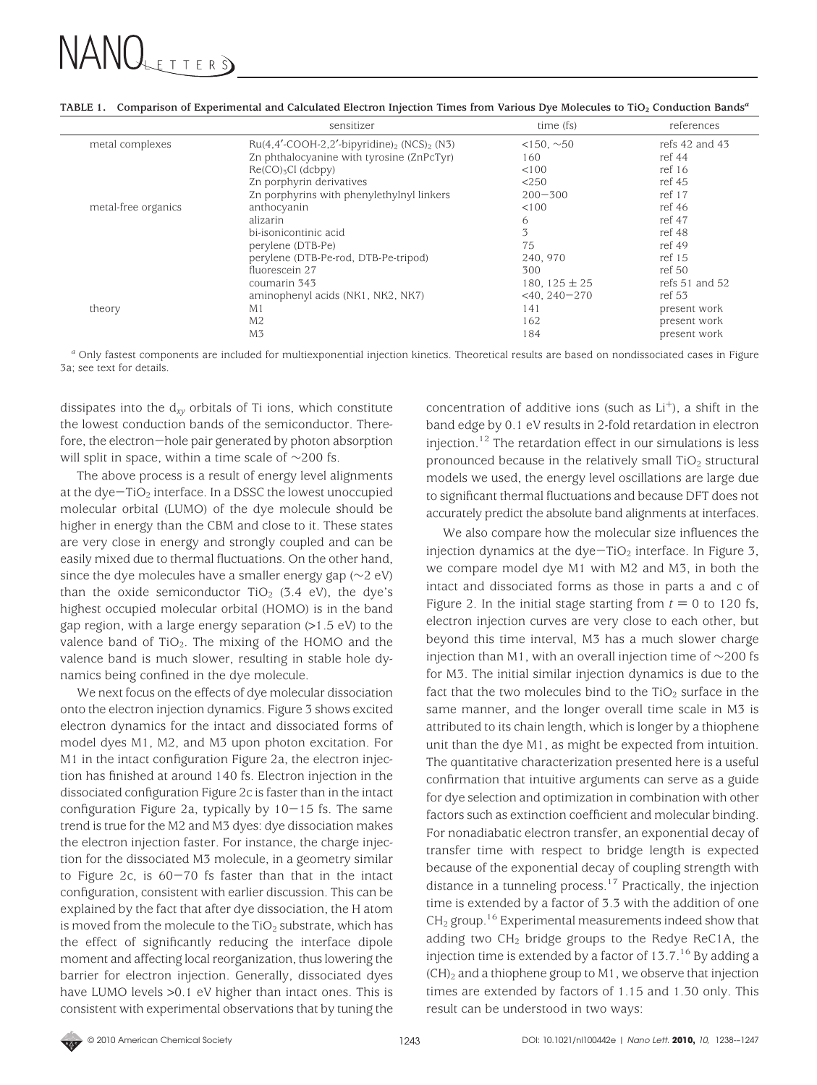|                     | sensitizer                                                            | time (fs)           | references         |
|---------------------|-----------------------------------------------------------------------|---------------------|--------------------|
| metal complexes     | $Ru(4,4'$ -COOH-2,2'-bipyridine) <sub>2</sub> (NCS) <sub>2</sub> (N3) | $<150, \sim 50$     | refs 42 and 43     |
|                     | Zn phthalocyanine with tyrosine (ZnPcTyr)                             | 160                 | ref 44             |
|                     | $Re(CO)3Cl$ (dcbpy)                                                   | < 100               | ref 16             |
|                     | Zn porphyrin derivatives                                              | < 250               | ref 45             |
|                     | Zn porphyrins with phenylethylnyl linkers                             | $200 - 300$         | ref 17             |
| metal-free organics | anthocyanin                                                           | < 100               | ref 46             |
|                     | alizarin                                                              | 6                   | ref 47             |
|                     | bi-isonicontinic acid                                                 | 3                   | ref 48             |
|                     | perylene (DTB-Pe)                                                     | 75                  | ref 49             |
|                     | perylene (DTB-Pe-rod, DTB-Pe-tripod)                                  | 240, 970            | ref 15             |
|                     | fluorescein 27                                                        | 300                 | ref 50             |
|                     | coumarin 343                                                          | 180, 125 $\pm$ 25   | refs $51$ and $52$ |
|                     | aminophenyl acids (NK1, NK2, NK7)                                     | $<$ 40, 240 $-$ 270 | ref 53             |
| theory              | M <sub>1</sub>                                                        | 141                 | present work       |
|                     | M <sub>2</sub>                                                        | 162                 | present work       |
|                     | M <sub>3</sub>                                                        | 184                 | present work       |
|                     |                                                                       |                     |                    |

**TABLE 1. Comparison of Experimental and Calculated Electron Injection Times from Various Dye Molecules to TiO2 Conduction Bands***<sup>a</sup>*

*<sup>a</sup>* Only fastest components are included for multiexponential injection kinetics. Theoretical results are based on nondissociated cases in Figure 3a; see text for details.

dissipates into the d*xy* orbitals of Ti ions, which constitute the lowest conduction bands of the semiconductor. Therefore, the electron-hole pair generated by photon absorption will split in space, within a time scale of ∼200 fs.

The above process is a result of energy level alignments at the dye $-TiO<sub>2</sub>$  interface. In a DSSC the lowest unoccupied molecular orbital (LUMO) of the dye molecule should be higher in energy than the CBM and close to it. These states are very close in energy and strongly coupled and can be easily mixed due to thermal fluctuations. On the other hand, since the dye molecules have a smaller energy gap (∼2 eV) than the oxide semiconductor  $TiO<sub>2</sub>$  (3.4 eV), the dye's highest occupied molecular orbital (HOMO) is in the band gap region, with a large energy separation (>1.5 eV) to the valence band of  $TiO<sub>2</sub>$ . The mixing of the HOMO and the valence band is much slower, resulting in stable hole dynamics being confined in the dye molecule.

We next focus on the effects of dye molecular dissociation onto the electron injection dynamics. Figure 3 shows excited electron dynamics for the intact and dissociated forms of model dyes M1, M2, and M3 upon photon excitation. For M1 in the intact configuration Figure 2a, the electron injection has finished at around 140 fs. Electron injection in the dissociated configuration Figure 2c is faster than in the intact configuration Figure 2a, typically by  $10-15$  fs. The same trend is true for the M2 and M3 dyes: dye dissociation makes the electron injection faster. For instance, the charge injection for the dissociated M3 molecule, in a geometry similar to Figure 2c, is  $60-70$  fs faster than that in the intact configuration, consistent with earlier discussion. This can be explained by the fact that after dye dissociation, the H atom is moved from the molecule to the  $TiO<sub>2</sub>$  substrate, which has the effect of significantly reducing the interface dipole moment and affecting local reorganization, thus lowering the barrier for electron injection. Generally, dissociated dyes have LUMO levels >0.1 eV higher than intact ones. This is consistent with experimental observations that by tuning the concentration of additive ions (such as  $Li<sup>+</sup>$ ), a shift in the band edge by 0.1 eV results in 2-fold retardation in electron injection.12 The retardation effect in our simulations is less pronounced because in the relatively small  $TiO<sub>2</sub>$  structural models we used, the energy level oscillations are large due to significant thermal fluctuations and because DFT does not accurately predict the absolute band alignments at interfaces.

We also compare how the molecular size influences the injection dynamics at the dye $-TiO<sub>2</sub>$  interface. In Figure 3, we compare model dye M1 with M2 and M3, in both the intact and dissociated forms as those in parts a and c of Figure 2. In the initial stage starting from  $t = 0$  to 120 fs, electron injection curves are very close to each other, but beyond this time interval, M3 has a much slower charge injection than M1, with an overall injection time of ∼200 fs for M3. The initial similar injection dynamics is due to the fact that the two molecules bind to the  $TiO<sub>2</sub>$  surface in the same manner, and the longer overall time scale in M3 is attributed to its chain length, which is longer by a thiophene unit than the dye M1, as might be expected from intuition. The quantitative characterization presented here is a useful confirmation that intuitive arguments can serve as a guide for dye selection and optimization in combination with other factors such as extinction coefficient and molecular binding. For nonadiabatic electron transfer, an exponential decay of transfer time with respect to bridge length is expected because of the exponential decay of coupling strength with distance in a tunneling process.17 Practically, the injection time is extended by a factor of 3.3 with the addition of one  $CH<sub>2</sub>$  group.<sup>16</sup> Experimental measurements indeed show that adding two  $CH<sub>2</sub>$  bridge groups to the Redye ReC1A, the injection time is extended by a factor of  $13.7<sup>16</sup>$  By adding a  $(CH)_2$  and a thiophene group to M1, we observe that injection times are extended by factors of 1.15 and 1.30 only. This result can be understood in two ways:

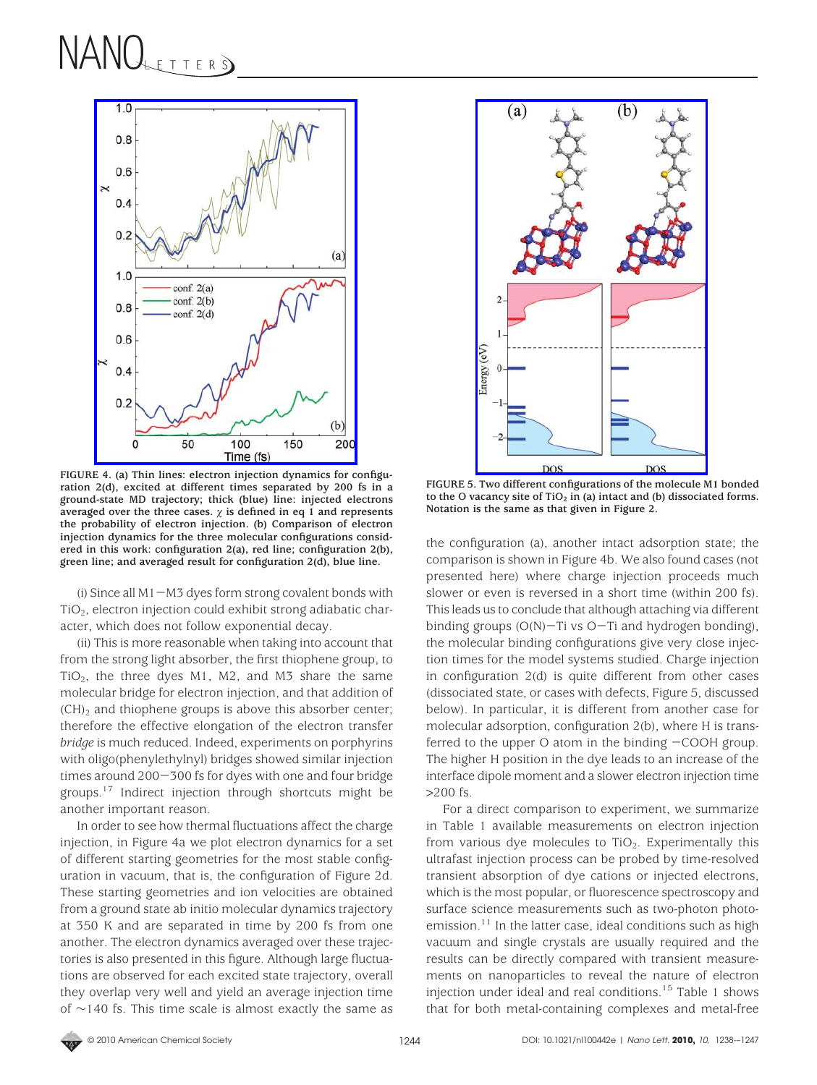

**FIGURE 4. (a) Thin lines: electron injection dynamics for configuration 2(d), excited at different times separated by 200 fs in a ground-state MD trajectory; thick (blue) line: injected electrons** averaged over the three cases.  $\chi$  is defined in eq 1 and represents **the probability of electron injection. (b) Comparison of electron injection dynamics for the three molecular configurations considered in this work: configuration 2(a), red line; configuration 2(b), green line; and averaged result for configuration 2(d), blue line.**

(i) Since all  $M1-M3$  dyes form strong covalent bonds with TiO2, electron injection could exhibit strong adiabatic character, which does not follow exponential decay.

(ii) This is more reasonable when taking into account that from the strong light absorber, the first thiophene group, to TiO<sub>2</sub>, the three dyes M1, M2, and M3 share the same molecular bridge for electron injection, and that addition of  $(CH)_2$  and thiophene groups is above this absorber center; therefore the effective elongation of the electron transfer *bridge* is much reduced. Indeed, experiments on porphyrins with oligo(phenylethylnyl) bridges showed similar injection times around 200-300 fs for dyes with one and four bridge groups.17 Indirect injection through shortcuts might be another important reason.

In order to see how thermal fluctuations affect the charge injection, in Figure 4a we plot electron dynamics for a set of different starting geometries for the most stable configuration in vacuum, that is, the configuration of Figure 2d. These starting geometries and ion velocities are obtained from a ground state ab initio molecular dynamics trajectory at 350 K and are separated in time by 200 fs from one another. The electron dynamics averaged over these trajectories is also presented in this figure. Although large fluctuations are observed for each excited state trajectory, overall they overlap very well and yield an average injection time of ∼140 fs. This time scale is almost exactly the same as



**FIGURE 5. Two different configurations of the molecule M1 bonded** to the O vacancy site of  $TiO<sub>2</sub>$  in (a) intact and (b) dissociated forms. **Notation is the same as that given in Figure 2.**

the configuration (a), another intact adsorption state; the comparison is shown in Figure 4b. We also found cases (not presented here) where charge injection proceeds much slower or even is reversed in a short time (within 200 fs). This leads us to conclude that although attaching via different binding groups (O(N)-Ti vs O-Ti and hydrogen bonding), the molecular binding configurations give very close injection times for the model systems studied. Charge injection in configuration 2(d) is quite different from other cases (dissociated state, or cases with defects, Figure 5, discussed below). In particular, it is different from another case for molecular adsorption, configuration 2(b), where H is transferred to the upper  $O$  atom in the binding  $-COOH$  group. The higher H position in the dye leads to an increase of the interface dipole moment and a slower electron injection time >200 fs.

For a direct comparison to experiment, we summarize in Table 1 available measurements on electron injection from various dye molecules to  $TiO<sub>2</sub>$ . Experimentally this ultrafast injection process can be probed by time-resolved transient absorption of dye cations or injected electrons, which is the most popular, or fluorescence spectroscopy and surface science measurements such as two-photon photoemission. $11$  In the latter case, ideal conditions such as high vacuum and single crystals are usually required and the results can be directly compared with transient measurements on nanoparticles to reveal the nature of electron injection under ideal and real conditions.<sup>15</sup> Table 1 shows that for both metal-containing complexes and metal-free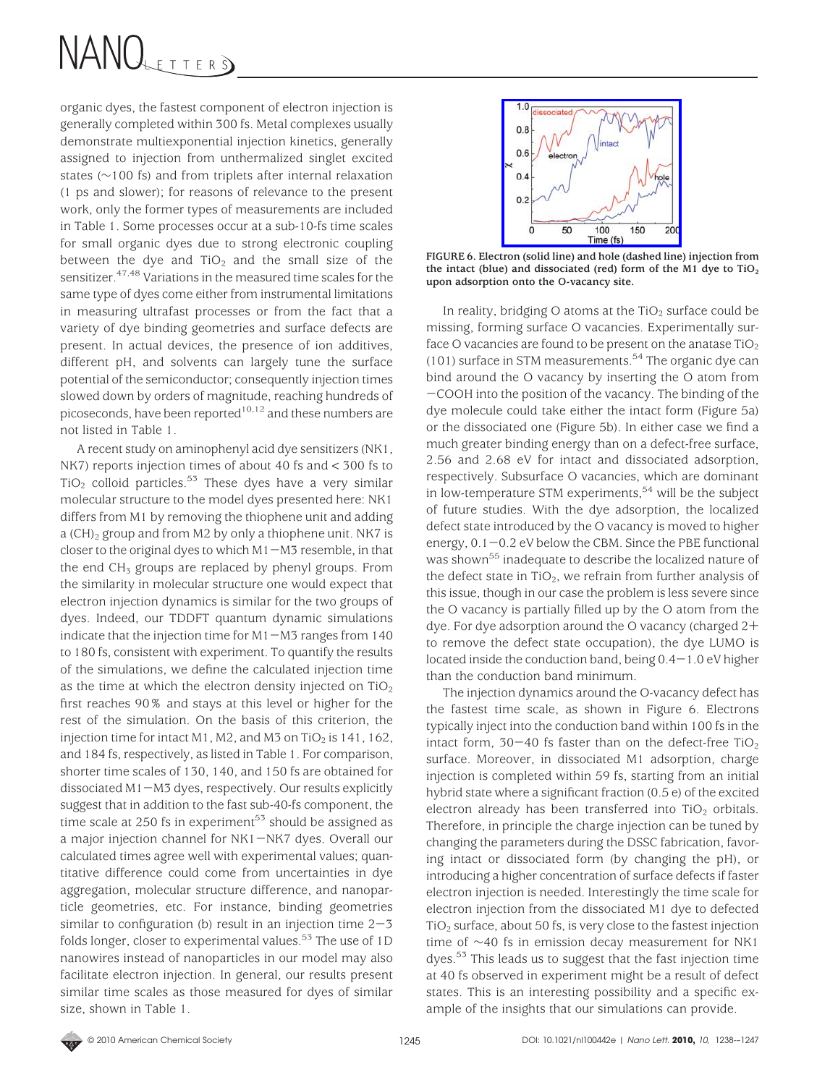organic dyes, the fastest component of electron injection is generally completed within 300 fs. Metal complexes usually demonstrate multiexponential injection kinetics, generally assigned to injection from unthermalized singlet excited states (∼100 fs) and from triplets after internal relaxation (1 ps and slower); for reasons of relevance to the present work, only the former types of measurements are included in Table 1. Some processes occur at a sub-10-fs time scales for small organic dyes due to strong electronic coupling between the dye and  $TiO<sub>2</sub>$  and the small size of the sensitizer.<sup>47,48</sup> Variations in the measured time scales for the same type of dyes come either from instrumental limitations in measuring ultrafast processes or from the fact that a variety of dye binding geometries and surface defects are present. In actual devices, the presence of ion additives, different pH, and solvents can largely tune the surface potential of the semiconductor; consequently injection times slowed down by orders of magnitude, reaching hundreds of picoseconds, have been reported<sup>10,12</sup> and these numbers are not listed in Table 1.

A recent study on aminophenyl acid dye sensitizers (NK1, NK7) reports injection times of about 40 fs and < 300 fs to  $TiO<sub>2</sub>$  colloid particles.<sup>53</sup> These dyes have a very similar molecular structure to the model dyes presented here: NK1 differs from M1 by removing the thiophene unit and adding a  $(CH)_2$  group and from M2 by only a thiophene unit. NK7 is closer to the original dyes to which  $M1-M3$  resemble, in that the end  $CH<sub>3</sub>$  groups are replaced by phenyl groups. From the similarity in molecular structure one would expect that electron injection dynamics is similar for the two groups of dyes. Indeed, our TDDFT quantum dynamic simulations indicate that the injection time for  $M1-M3$  ranges from 140 to 180 fs, consistent with experiment. To quantify the results of the simulations, we define the calculated injection time as the time at which the electron density injected on  $TiO<sub>2</sub>$ first reaches 90% and stays at this level or higher for the rest of the simulation. On the basis of this criterion, the injection time for intact M1, M2, and M3 on TiO<sub>2</sub> is 141, 162, and 184 fs, respectively, as listed in Table 1. For comparison, shorter time scales of 130, 140, and 150 fs are obtained for dissociated M1-M3 dyes, respectively. Our results explicitly suggest that in addition to the fast sub-40-fs component, the time scale at  $250$  fs in experiment<sup>53</sup> should be assigned as a major injection channel for NK1-NK7 dyes. Overall our calculated times agree well with experimental values; quantitative difference could come from uncertainties in dye aggregation, molecular structure difference, and nanoparticle geometries, etc. For instance, binding geometries similar to configuration (b) result in an injection time  $2-3$ folds longer, closer to experimental values.<sup>53</sup> The use of 1D nanowires instead of nanoparticles in our model may also facilitate electron injection. In general, our results present similar time scales as those measured for dyes of similar size, shown in Table 1.



**FIGURE 6. Electron (solid line) and hole (dashed line) injection from the intact (blue) and dissociated (red) form of the M1 dye to TiO2 upon adsorption onto the O-vacancy site.**

In reality, bridging O atoms at the  $TiO<sub>2</sub>$  surface could be missing, forming surface O vacancies. Experimentally surface O vacancies are found to be present on the anatase  $TiO<sub>2</sub>$ (101) surface in STM measurements.<sup>54</sup> The organic dye can bind around the O vacancy by inserting the O atom from -COOH into the position of the vacancy. The binding of the dye molecule could take either the intact form (Figure 5a) or the dissociated one (Figure 5b). In either case we find a much greater binding energy than on a defect-free surface, 2.56 and 2.68 eV for intact and dissociated adsorption, respectively. Subsurface O vacancies, which are dominant in low-temperature STM experiments,  $54$  will be the subject of future studies. With the dye adsorption, the localized defect state introduced by the O vacancy is moved to higher energy,  $0.1-0.2$  eV below the CBM. Since the PBE functional was shown<sup>55</sup> inadequate to describe the localized nature of the defect state in  $TiO<sub>2</sub>$ , we refrain from further analysis of this issue, though in our case the problem is less severe since the O vacancy is partially filled up by the O atom from the dye. For dye adsorption around the O vacancy (charged 2+ to remove the defect state occupation), the dye LUMO is located inside the conduction band, being  $0.4-1.0$  eV higher than the conduction band minimum.

The injection dynamics around the O-vacancy defect has the fastest time scale, as shown in Figure 6. Electrons typically inject into the conduction band within 100 fs in the intact form,  $30-40$  fs faster than on the defect-free TiO<sub>2</sub> surface. Moreover, in dissociated M1 adsorption, charge injection is completed within 59 fs, starting from an initial hybrid state where a significant fraction (0.5 e) of the excited electron already has been transferred into  $TiO<sub>2</sub>$  orbitals. Therefore, in principle the charge injection can be tuned by changing the parameters during the DSSC fabrication, favoring intact or dissociated form (by changing the pH), or introducing a higher concentration of surface defects if faster electron injection is needed. Interestingly the time scale for electron injection from the dissociated M1 dye to defected TiO2 surface, about 50 fs, is very close to the fastest injection time of ∼40 fs in emission decay measurement for NK1 dyes.<sup>53</sup> This leads us to suggest that the fast injection time at 40 fs observed in experiment might be a result of defect states. This is an interesting possibility and a specific example of the insights that our simulations can provide.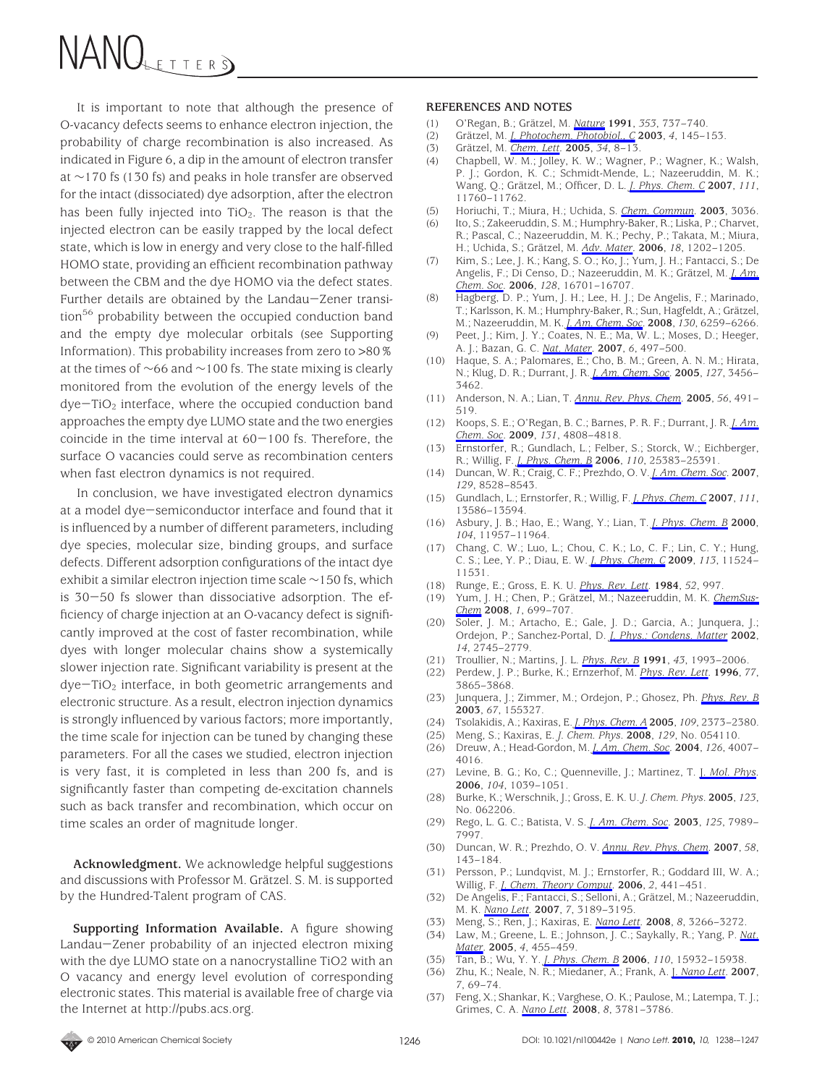It is important to note that although the presence of O-vacancy defects seems to enhance electron injection, the probability of charge recombination is also increased. As indicated in Figure 6, a dip in the amount of electron transfer at ∼170 fs (130 fs) and peaks in hole transfer are observed for the intact (dissociated) dye adsorption, after the electron has been fully injected into  $TiO<sub>2</sub>$ . The reason is that the injected electron can be easily trapped by the local defect state, which is low in energy and very close to the half-filled HOMO state, providing an efficient recombination pathway between the CBM and the dye HOMO via the defect states. Further details are obtained by the Landau-Zener transition<sup>56</sup> probability between the occupied conduction band and the empty dye molecular orbitals (see Supporting Information). This probability increases from zero to >80% at the times of ∼66 and ∼100 fs. The state mixing is clearly monitored from the evolution of the energy levels of the  $dye-TiO<sub>2</sub>$  interface, where the occupied conduction band approaches the empty dye LUMO state and the two energies coincide in the time interval at  $60-100$  fs. Therefore, the surface O vacancies could serve as recombination centers when fast electron dynamics is not required.

In conclusion, we have investigated electron dynamics at a model dye-semiconductor interface and found that it is influenced by a number of different parameters, including dye species, molecular size, binding groups, and surface defects. Different adsorption configurations of the intact dye exhibit a similar electron injection time scale ∼150 fs, which is 30-50 fs slower than dissociative adsorption. The efficiency of charge injection at an O-vacancy defect is significantly improved at the cost of faster recombination, while dyes with longer molecular chains show a systemically slower injection rate. Significant variability is present at the  $dye-TiO<sub>2</sub>$  interface, in both geometric arrangements and electronic structure. As a result, electron injection dynamics is strongly influenced by various factors; more importantly, the time scale for injection can be tuned by changing these parameters. For all the cases we studied, electron injection is very fast, it is completed in less than 200 fs, and is significantly faster than competing de-excitation channels such as back transfer and recombination, which occur on time scales an order of magnitude longer.

**Acknowledgment.** We acknowledge helpful suggestions and discussions with Professor M. Grätzel. S. M. is supported by the Hundred-Talent program of CAS.

**Supporting Information Available.** A figure showing Landau-Zener probability of an injected electron mixing with the dye LUMO state on a nanocrystalline TiO2 with an O vacancy and energy level evolution of corresponding electronic states. This material is available free of charge via the Internet at http://pubs.acs.org.

#### **REFERENCES AND NOTES**

- (1) O'Regan, B.; Gra¨tzel, M. *Nature* **1991**, *353*, 737–740.
- (2) Gra¨tzel, M. *J. Photochem. Photobiol., C* **2003**, *4*, 145–153.
- (3) Gra¨tzel, M. *Chem. Lett.* **2005**, *34*, 8–13.
- (4) Chapbell, W. M.; Jolley, K. W.; Wagner, P.; Wagner, K.; Walsh, P. J.; Gordon, K. C.; Schmidt-Mende, L.; Nazeeruddin, M. K.; Wang, Q.; Grätzel, M.; Officer, D. L. *J. Phys. Chem. C* 2007, 111, 11760–11762.
- (5) Horiuchi, T.; Miura, H.; Uchida, S. *Chem. Commun.* **2003**, 3036.
- (6) Ito, S.; Zakeeruddin, S. M.; Humphry-Baker, R.; Liska, P.; Charvet, R.; Pascal, C.; Nazeeruddin, M. K.; Pechy, P.; Takata, M.; Miura, H.; Uchida, S.; Grätzel, M. *Adv. Mater.* 2006, 18, 1202-1205.
- (7) Kim, S.; Lee, J. K.; Kang, S. O.; Ko, J.; Yum, J. H.; Fantacci, S.; De Angelis, F.; Di Censo, D.; Nazeeruddin, M. K.; Grätzel, M. *J. Am. Chem. Soc.* **2006**, *128*, 16701–16707.
- (8) Hagberg, D. P.; Yum, J. H.; Lee, H. J.; De Angelis, F.; Marinado, T.; Karlsson, K. M.; Humphry-Baker, R.; Sun, Hagfeldt, A.; Grätzel, M.; Nazeeruddin, M. K. *J. Am. Chem. Soc.* **2008**, *130*, 6259–6266.
- (9) Peet, J.; Kim, J. Y.; Coates, N. E.; Ma, W. L.; Moses, D.; Heeger, A. J.; Bazan, G. C. *Nat. Mater.* **2007**, *6*, 497–500.
- (10) Haque, S. A.; Palomares, E.; Cho, B. M.; Green, A. N. M.; Hirata, N.; Klug, D. R.; Durrant, J. R. *J. Am. Chem. Soc.* **2005**, *127*, 3456– 3462.
- (11) Anderson, N. A.; Lian, T. *Annu. Rev. Phys. Chem.* **2005**, *56*, 491– 519.
- (12) Koops, S. E.; O'Regan, B. C.; Barnes, P. R. F.; Durrant, J. R. *J. Am. Chem. Soc.* **2009**, *131*, 4808–4818.
- (13) Ernstorfer, R.; Gundlach, L.; Felber, S.; Storck, W.; Eichberger, R.; Willig, F. *J. Phys. Chem. B* **2006**, *110*, 25383–25391.
- (14) Duncan, W. R.; Craig, C. F.; Prezhdo, O. V. *J. Am. Chem. Soc.* **2007**, *129*, 8528–8543.
- (15) Gundlach, L.; Ernstorfer, R.; Willig, F. *J. Phys. Chem. C* **2007**, *111*, 13586–13594.
- (16) Asbury, J. B.; Hao, E.; Wang, Y.; Lian, T. *J. Phys. Chem. B* **2000**, *104*, 11957–11964.
- (17) Chang, C. W.; Luo, L.; Chou, C. K.; Lo, C. F.; Lin, C. Y.; Hung, C. S.; Lee, Y. P.; Diau, E. W. *J. Phys. Chem. C* **2009**, *113*, 11524– 11531.
- (18) Runge, E.; Gross, E. K. U. *Phys. Rev. Lett.* **1984**, *52*, 997.
- (19) Yum, J. H.; Chen, P.; Grätzel, M.; Nazeeruddin, M. K. ChemSus-*Chem* **2008**, *1*, 699–707.
- (20) Soler, J. M.; Artacho, E.; Gale, J. D.; Garcia, A.; Junquera, J.; Ordejon, P.; Sanchez-Portal, D. *J. Phys.: Condens. Matter* **2002**, *14*, 2745–2779.
- (21) Troullier, N.; Martins, J. L. *Phys. Rev. B* **1991**, *43*, 1993–2006.
- (22) Perdew, J. P.; Burke, K.; Ernzerhof, M. *Phys. Rev. Lett.* **1996**, *77*, 3865–3868.
- (23) Junquera, J.; Zimmer, M.; Ordejon, P.; Ghosez, Ph. *Phys. Rev. B* **2003**, *67*, 155327.
- (24) Tsolakidis, A.; Kaxiras, E. *J. Phys. Chem. A* **2005**, *109*, 2373–2380.
- (25) Meng, S.; Kaxiras, E. *J. Chem. Phys.* **2008**, *129*, No. 054110.
- (26) Dreuw, A.; Head-Gordon, M. *J. Am. Chem. Soc.* **2004**, *126*, 4007– 4016.
- (27) Levine, B. G.; Ko, C.; Quenneville, J.; Martinez, T. J. *Mol. Phys.* **2006**, *104*, 1039–1051.
- (28) Burke, K.; Werschnik, J.; Gross, E. K. U. *J. Chem. Phys.* **2005**, *123*, No. 062206.
- (29) Rego, L. G. C.; Batista, V. S. *J. Am. Chem. Soc.* **2003**, *125*, 7989– 7997.
- (30) Duncan, W. R.; Prezhdo, O. V. *Annu. Rev. Phys. Chem.* **2007**, *58*, 143–184.
- (31) Persson, P.; Lundqvist, M. J.; Ernstorfer, R.; Goddard III, W. A.; Willig, F. *J. Chem. Theory Comput.* **2006**, *2*, 441–451.
- (32) De Angelis, F.; Fantacci, S.; Selloni, A.; Grätzel, M.; Nazeeruddin, M. K. *Nano Lett.* **2007**, *7*, 3189–3195.
- (33) Meng, S.; Ren, J.; Kaxiras, E. *Nano Lett.* **2008**, *8*, 3266–3272.
- (34) Law, M.; Greene, L. E.; Johnson, J. C.; Saykally, R.; Yang, P. *Nat. Mater.* **2005**, *4*, 455–459.
- (35) Tan, B.; Wu, Y. Y. *J. Phys. Chem. B* **2006**, *110*, 15932–15938.
- (36) Zhu, K.; Neale, N. R.; Miedaner, A.; Frank, A. J. *Nano Lett.* **2007**, *7*, 69–74.
- (37) Feng, X.; Shankar, K.; Varghese, O. K.; Paulose, M.; Latempa, T. J.; Grimes, C. A. *Nano Lett.* **2008**, *8*, 3781–3786.